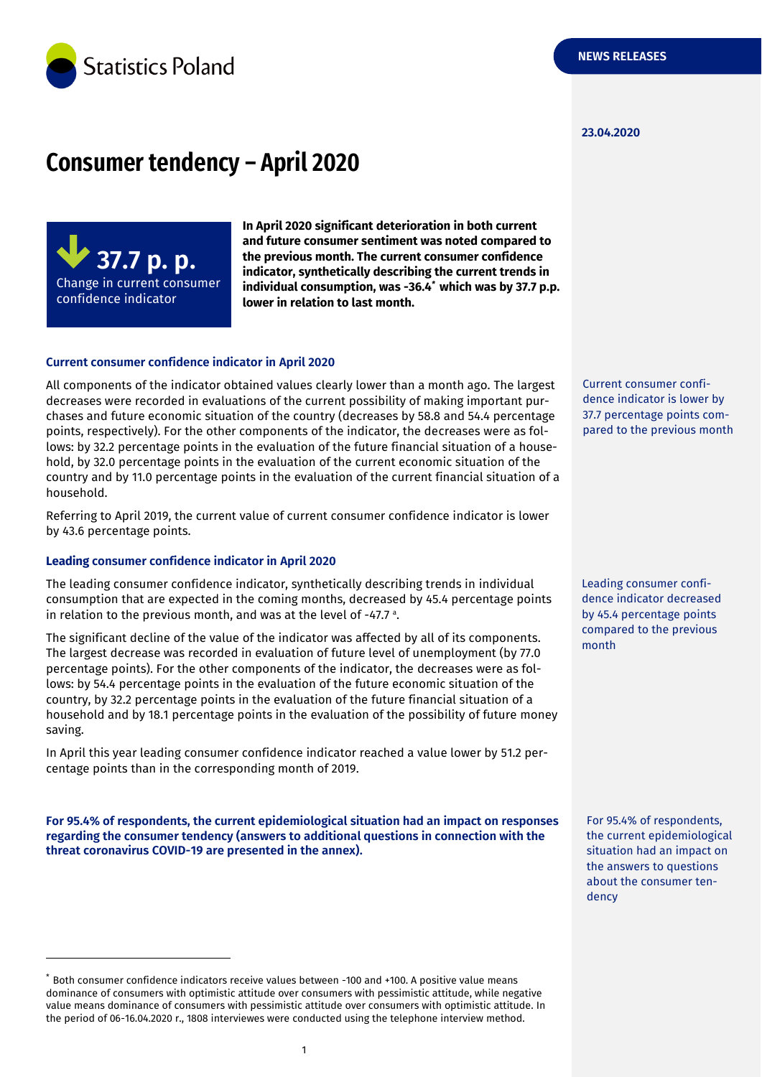

#### **23.04.2020**

## **Consumer tendency – April 2020**



**In April 2020 significant deterioration in both current and future consumer sentiment was noted compared to the previous month. The current consumer confidence indicator, synthetically describing the current trends in individual consumption, was -36.4** *\** **which was by 37.7 p.p. lower in relation to last month.**

#### **Current consumer confidence indicator in April 2020**

All components of the indicator obtained values clearly lower than a month ago. The largest decreases were recorded in evaluations of the current possibility of making important purchases and future economic situation of the country (decreases by 58.8 and 54.4 percentage points, respectively). For the other components of the indicator, the decreases were as follows: by 32.2 percentage points in the evaluation of the future financial situation of a household, by 32.0 percentage points in the evaluation of the current economic situation of the country and by 11.0 percentage points in the evaluation of the current financial situation of a household.

Referring to April 2019, the current value of current consumer confidence indicator is lower by 43.6 percentage points.

#### **Leading consumer confidence indicator in April 2020**

-

The leading consumer confidence indicator, synthetically describing trends in individual consumption that are expected in the coming months, decreased by 45.4 percentage points in relation to the previous month, and was at the level of -47.7 a .

The significant decline of the value of the indicator was affected by all of its components. The largest decrease was recorded in evaluation of future level of unemployment (by 77.0 percentage points). For the other components of the indicator, the decreases were as follows: by 54.4 percentage points in the evaluation of the future economic situation of the country, by 32.2 percentage points in the evaluation of the future financial situation of a household and by 18.1 percentage points in the evaluation of the possibility of future money saving.

In April this year leading consumer confidence indicator reached a value lower by 51.2 percentage points than in the corresponding month of 2019.

**For 95.4% of respondents, the current epidemiological situation had an impact on responses regarding the consumer tendency (answers to additional questions in connection with the threat coronavirus COVID-19 are presented in the annex).**

Current consumer confidence indicator is lower by 37.7 percentage points compared to the previous month

Leading consumer confidence indicator decreased by 45.4 percentage points compared to the previous month

For 95.4% of respondents, the current epidemiological situation had an impact on the answers to questions about the consumer tendency

<sup>\*</sup> Both consumer confidence indicators receive values between -100 and +100. A positive value means dominance of consumers with optimistic attitude over consumers with pessimistic attitude, while negative value means dominance of consumers with pessimistic attitude over consumers with optimistic attitude. In the period of 06-16.04.2020 r., 1808 interviewes were conducted using the telephone interview method.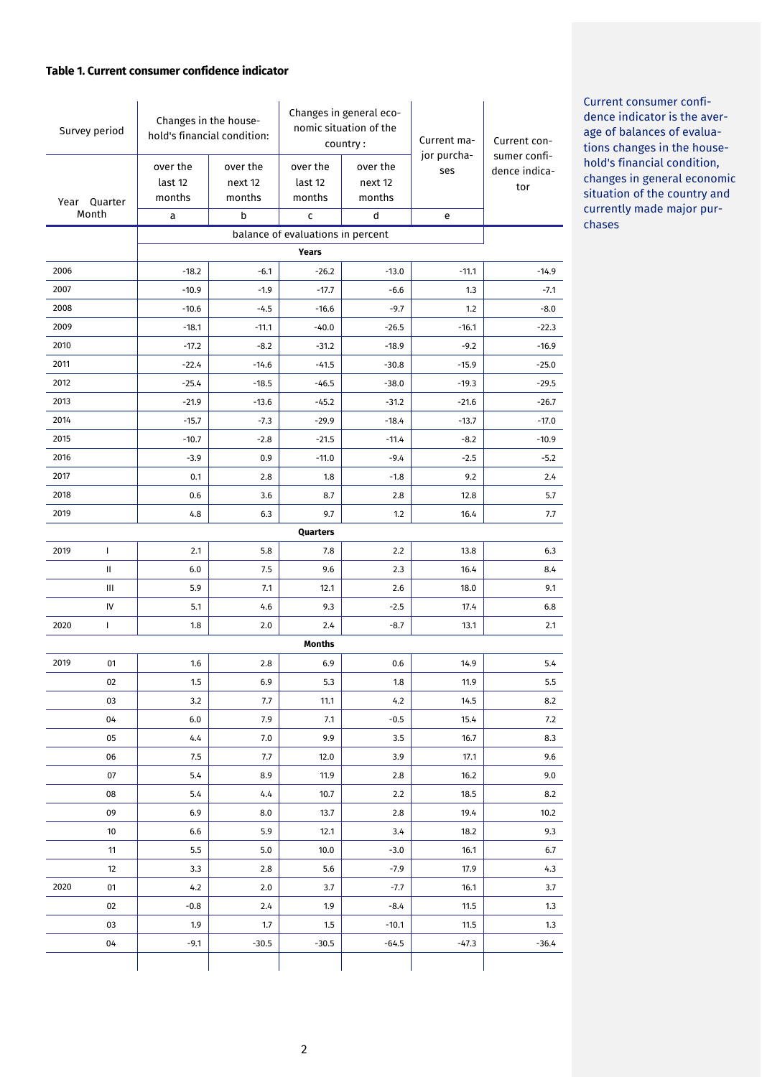## **Table 1. Current consumer confidence indicator**

| Survey period |                                   | Changes in the house-<br>hold's financial condition: |                  | Changes in general eco-<br>nomic situation of the<br>country: |          | Current ma-        | Current con-                  |  |
|---------------|-----------------------------------|------------------------------------------------------|------------------|---------------------------------------------------------------|----------|--------------------|-------------------------------|--|
|               |                                   | over the                                             | over the         | over the                                                      | over the | jor purcha-<br>ses | sumer confi-<br>dence indica- |  |
|               |                                   | last 12                                              | next 12          | last 12                                                       | next 12  |                    | tor                           |  |
|               | Year Quarter                      | months                                               | months           | months                                                        | months   |                    |                               |  |
|               | Month                             | a                                                    | b                | c                                                             | d        | e                  |                               |  |
|               | balance of evaluations in percent |                                                      |                  |                                                               |          |                    |                               |  |
| 2006          |                                   | $-18.2$                                              |                  | <b>Years</b><br>$-26.2$                                       | $-13.0$  |                    |                               |  |
| 2007          |                                   | $-10.9$                                              | $-6.1$<br>$-1.9$ | $-17.7$                                                       | $-6.6$   | $-11.1$<br>1.3     | $-14.9$<br>$-7.1$             |  |
| 2008          |                                   | $-10.6$                                              | $-4.5$           | $-16.6$                                                       | -9.7     | 1.2                | $-8.0$                        |  |
| 2009          |                                   | $-18.1$                                              | $-11.1$          | $-40.0$                                                       | $-26.5$  | $-16.1$            | $-22.3$                       |  |
| 2010          |                                   | $-17.2$                                              | $-8.2$           | $-31.2$                                                       | $-18.9$  | $-9.2$             | $-16.9$                       |  |
| 2011          |                                   | $-22.4$                                              | $-14.6$          | $-41.5$                                                       | $-30.8$  | $-15.9$            | $-25.0$                       |  |
| 2012          |                                   | $-25.4$                                              | $-18.5$          | $-46.5$                                                       | $-38.0$  | $-19.3$            | $-29.5$                       |  |
| 2013          |                                   | $-21.9$                                              | $-13.6$          | $-45.2$                                                       | $-31.2$  | $-21.6$            | $-26.7$                       |  |
| 2014          |                                   | $-15.7$                                              | $-7.3$           | $-29.9$                                                       | $-18.4$  | $-13.7$            | $-17.0$                       |  |
| 2015          |                                   | $-10.7$                                              | $-2.8$           | $-21.5$                                                       | $-11.4$  | $-8.2$             | $-10.9$                       |  |
| 2016          |                                   | $-3.9$                                               | 0.9              | $-11.0$                                                       | $-9.4$   | $-2.5$             | $-5.2$                        |  |
| 2017          |                                   | 0.1                                                  | 2.8              | 1.8                                                           | $-1.8$   | 9.2                | 2.4                           |  |
| 2018          |                                   | 0.6                                                  | 3.6              | 8.7                                                           | 2.8      | 12.8               | 5.7                           |  |
| 2019          |                                   | 4.8                                                  | 6.3              | 9.7                                                           | 1.2      | 16.4               | 7.7                           |  |
|               |                                   |                                                      |                  | Quarters                                                      |          |                    |                               |  |
| 2019          | $\mathbf{I}$                      | 2.1                                                  | 5.8              | 7.8                                                           | 2.2      | 13.8               | 6.3                           |  |
|               | Ш                                 | 6.0                                                  | 7.5              | 9.6                                                           | 2.3      | 16.4               | 8.4                           |  |
|               | Ш                                 | 5.9                                                  | 7.1              | 12.1                                                          | 2.6      | 18.0               | 9.1                           |  |
|               | IV                                | 5.1                                                  | 4.6              | 9.3                                                           | $-2.5$   | 17.4               | 6.8                           |  |
| 2020          | L                                 | 1.8                                                  | 2.0              | 2.4                                                           | $-8.7$   | 13.1               | 2.1                           |  |
|               | <b>Months</b>                     |                                                      |                  |                                                               |          |                    |                               |  |
| 2019          | 01                                | 1.6                                                  | 2.8              | 6.9                                                           | 0.6      | 14.9               | 5.4                           |  |
|               | 02                                | 1.5                                                  | 6.9              | 5.3                                                           | 1.8      | 11.9               | 5.5                           |  |
|               | 03                                | 3.2                                                  | 7.7              | 11.1                                                          | 4.2      | 14.5               | 8.2                           |  |
|               | 04                                | 6.0                                                  | 7.9              | 7.1                                                           | $-0.5$   | 15.4               | 7.2                           |  |
|               | 05                                | 4.4                                                  | 7.0              | 9.9                                                           | 3.5      | 16.7               | 8.3                           |  |
|               | 06                                | 7.5                                                  | 7.7              | 12.0                                                          | 3.9      | 17.1               | 9.6                           |  |
|               | 07                                | 5.4                                                  | 8.9              | 11.9                                                          | 2.8      | 16.2               | 9.0                           |  |
|               | 08                                | 5.4                                                  | 4.4              | 10.7                                                          | 2.2      | 18.5               | 8.2                           |  |
|               | 09                                | 6.9                                                  | 8.0              | 13.7                                                          | 2.8      | 19.4               | 10.2                          |  |
|               | 10                                | 6.6                                                  | 5.9              | 12.1                                                          | 3.4      | 18.2               | 9.3                           |  |
|               | 11                                | 5.5                                                  | 5.0              | 10.0                                                          | $-3.0$   | 16.1               | 6.7                           |  |
|               | 12                                | 3.3                                                  | 2.8              | 5.6                                                           | -7.9     | 17.9               | 4.3                           |  |
| 2020          | 01                                | 4.2                                                  | 2.0              | 3.7                                                           | -7.7     | 16.1               | 3.7                           |  |
|               | 02                                | $-0.8$                                               | 2.4              | 1.9                                                           | $-8.4$   | 11.5               | 1.3                           |  |
|               | 03                                | 1.9                                                  | 1.7              | 1.5                                                           | $-10.1$  | 11.5               | 1.3                           |  |
|               | 04                                | $-9.1$                                               | $-30.5$          | $-30.5$                                                       | $-64.5$  | $-47.3$            | $-36.4$                       |  |
|               |                                   |                                                      |                  |                                                               |          |                    |                               |  |

Current consumer confidence indicator is the average of balances of evaluations changes in the household's financial condition, changes in general economic situation of the country and currently made major purchases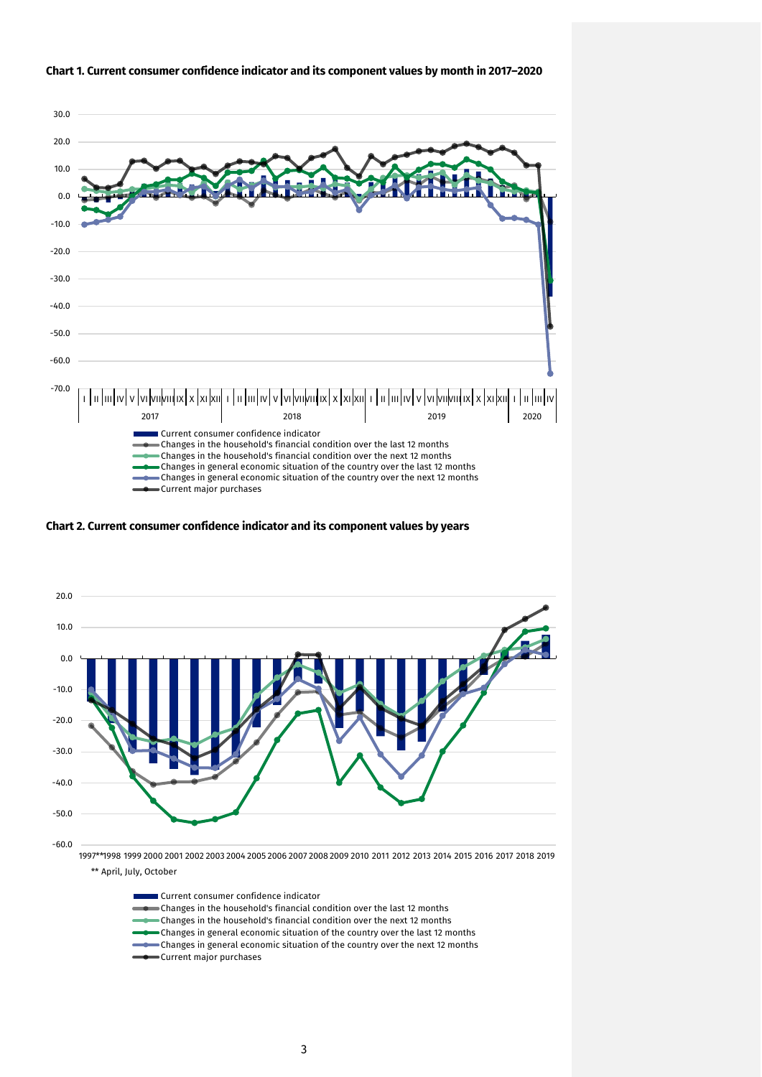

#### **Chart 1. Current consumer confidence indicator and its component values by month in 2017–2020**

**Chart 2. Current consumer confidence indicator and its component values by years**



Current consumer confidence indicator Changes in the household's financial condition over the last 12 months Changes in the household's financial condition over the next 12 months Changes in general economic situation of the country over the last 12 months  $\bullet$  Changes in general economic situation of the country over the next 12 months Current major purchases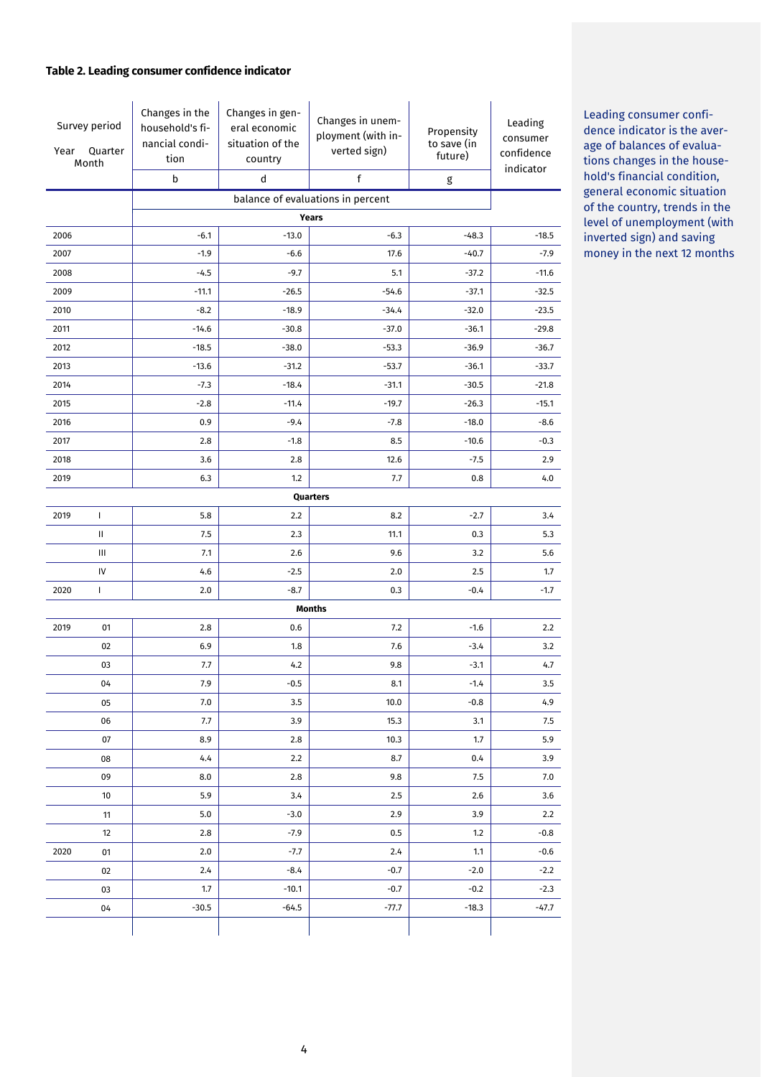## **Table 2. Leading consumer confidence indicator**

| Year | Survey period<br>Quarter<br>Month | Changes in the<br>household's fi-<br>nancial condi-<br>tion<br>b | Changes in gen-<br>eral economic<br>situation of the<br>country<br>d | Changes in unem-<br>ployment (with in-<br>verted sign)<br>f | Propensity<br>to save (in<br>future)<br>$\mathsf g$ | Leading<br>consumer<br>confidence<br>indicator |  |  |
|------|-----------------------------------|------------------------------------------------------------------|----------------------------------------------------------------------|-------------------------------------------------------------|-----------------------------------------------------|------------------------------------------------|--|--|
|      |                                   |                                                                  |                                                                      | balance of evaluations in percent                           |                                                     |                                                |  |  |
|      |                                   | Years                                                            |                                                                      |                                                             |                                                     |                                                |  |  |
| 2006 |                                   | $-6.1$                                                           | $-13.0$                                                              | $-6.3$                                                      | $-48.3$                                             | $-18.5$                                        |  |  |
| 2007 |                                   | $-1.9$                                                           | $-6.6$                                                               | 17.6                                                        | $-40.7$                                             | $-7.9$                                         |  |  |
| 2008 |                                   | $-4.5$                                                           | $-9.7$                                                               | 5.1                                                         | $-37.2$                                             | $-11.6$                                        |  |  |
| 2009 |                                   | $-11.1$                                                          | $-26.5$                                                              | $-54.6$                                                     | $-37.1$                                             | $-32.5$                                        |  |  |
| 2010 |                                   | $-8.2$                                                           | $-18.9$                                                              | $-34.4$                                                     | $-32.0$                                             | $-23.5$                                        |  |  |
| 2011 |                                   | $-14.6$                                                          | $-30.8$                                                              | $-37.0$                                                     | $-36.1$                                             | $-29.8$                                        |  |  |
| 2012 |                                   | $-18.5$                                                          | $-38.0$                                                              | $-53.3$                                                     | $-36.9$                                             | $-36.7$                                        |  |  |
| 2013 |                                   | $-13.6$                                                          | $-31.2$                                                              | $-53.7$                                                     | $-36.1$                                             | $-33.7$                                        |  |  |
| 2014 |                                   | $-7.3$                                                           | $-18.4$                                                              | $-31.1$                                                     | $-30.5$                                             | $-21.8$                                        |  |  |
| 2015 |                                   | $-2.8$                                                           | $-11.4$                                                              | $-19.7$                                                     | $-26.3$                                             | $-15.1$                                        |  |  |
| 2016 |                                   | 0.9                                                              | $-9.4$                                                               | $-7.8$                                                      | $-18.0$                                             | $-8.6$                                         |  |  |
| 2017 |                                   | 2.8                                                              | $-1.8$                                                               | 8.5                                                         | $-10.6$                                             | $-0.3$                                         |  |  |
| 2018 |                                   | 3.6                                                              | 2.8                                                                  | 12.6                                                        | $-7.5$                                              | 2.9                                            |  |  |
| 2019 |                                   | 6.3                                                              | 1.2                                                                  | 7.7                                                         | 0.8                                                 | 4.0                                            |  |  |
|      |                                   |                                                                  |                                                                      | Quarters                                                    |                                                     |                                                |  |  |
| 2019 | $\mathbf{I}$                      | 5.8                                                              | 2.2                                                                  | 8.2                                                         | $-2.7$                                              | 3.4                                            |  |  |
|      | Ш                                 | 7.5                                                              | 2.3                                                                  | 11.1                                                        | 0.3                                                 | 5.3                                            |  |  |
|      | Ш                                 | 7.1                                                              | 2.6                                                                  | 9.6                                                         | 3.2                                                 | 5.6                                            |  |  |
|      | IV                                | 4.6                                                              | $-2.5$                                                               | 2.0                                                         | 2.5                                                 | 1.7                                            |  |  |
| 2020 | $\mathbf{I}$                      | 2.0                                                              | $-8.7$                                                               | 0.3                                                         | $-0.4$                                              | $-1.7$                                         |  |  |
|      |                                   |                                                                  |                                                                      | <b>Months</b>                                               |                                                     |                                                |  |  |
| 2019 | 01                                | 2.8                                                              | 0.6                                                                  | 7.2                                                         | $-1.6$                                              | 2.2                                            |  |  |
|      | 02                                | 6.9                                                              | 1.8                                                                  | 7.6                                                         | $-3.4$                                              | 3.2                                            |  |  |
|      | 03                                | 7.7                                                              | 4.2                                                                  | $9.8\,$                                                     | $-3.1$                                              | 4.7                                            |  |  |
|      | 04                                | 7.9                                                              | $-0.5$                                                               | 8.1                                                         | $-1.4$                                              | 3.5                                            |  |  |
|      | 05                                | 7.0                                                              | 3.5                                                                  | 10.0                                                        | $-0.8$                                              | 4.9                                            |  |  |
|      | 06                                | 7.7                                                              | 3.9                                                                  | 15.3                                                        | 3.1                                                 | 7.5                                            |  |  |
|      | 07                                | 8.9                                                              | 2.8                                                                  | 10.3                                                        | 1.7                                                 | 5.9                                            |  |  |
|      | 08                                | 4.4                                                              | 2.2                                                                  | 8.7                                                         | 0.4                                                 | 3.9                                            |  |  |
|      | 09                                | 8.0                                                              | 2.8                                                                  | 9.8                                                         | 7.5                                                 | 7.0                                            |  |  |
|      | 10                                | 5.9                                                              | 3.4                                                                  | 2.5                                                         | 2.6                                                 | 3.6                                            |  |  |
|      | 11                                | 5.0                                                              | $-3.0$                                                               | 2.9                                                         | 3.9                                                 | 2.2                                            |  |  |
|      | 12                                | 2.8                                                              | $-7.9$                                                               | 0.5                                                         | 1.2                                                 | $-0.8$                                         |  |  |
| 2020 | 01                                | 2.0                                                              | $-7.7$                                                               | 2.4                                                         | 1.1                                                 | $-0.6$                                         |  |  |
|      | 02                                | 2.4                                                              | $-8.4$                                                               | $-0.7$                                                      | $-2.0$                                              | $-2.2$                                         |  |  |
|      | 03                                | 1.7                                                              | $-10.1$                                                              | $-0.7$                                                      | $-0.2$                                              | $-2.3$                                         |  |  |
|      | 04                                | $-30.5$                                                          | $-64.5$                                                              | $-77.7$                                                     | $-18.3$                                             | -47.7                                          |  |  |
|      |                                   |                                                                  |                                                                      |                                                             |                                                     |                                                |  |  |

Leading consumer confidence indicator is the average of balances of evaluations changes in the household's financial condition, general economic situation of the country, trends in the level of unemployment (with inverted sign) and saving money in the next 12 months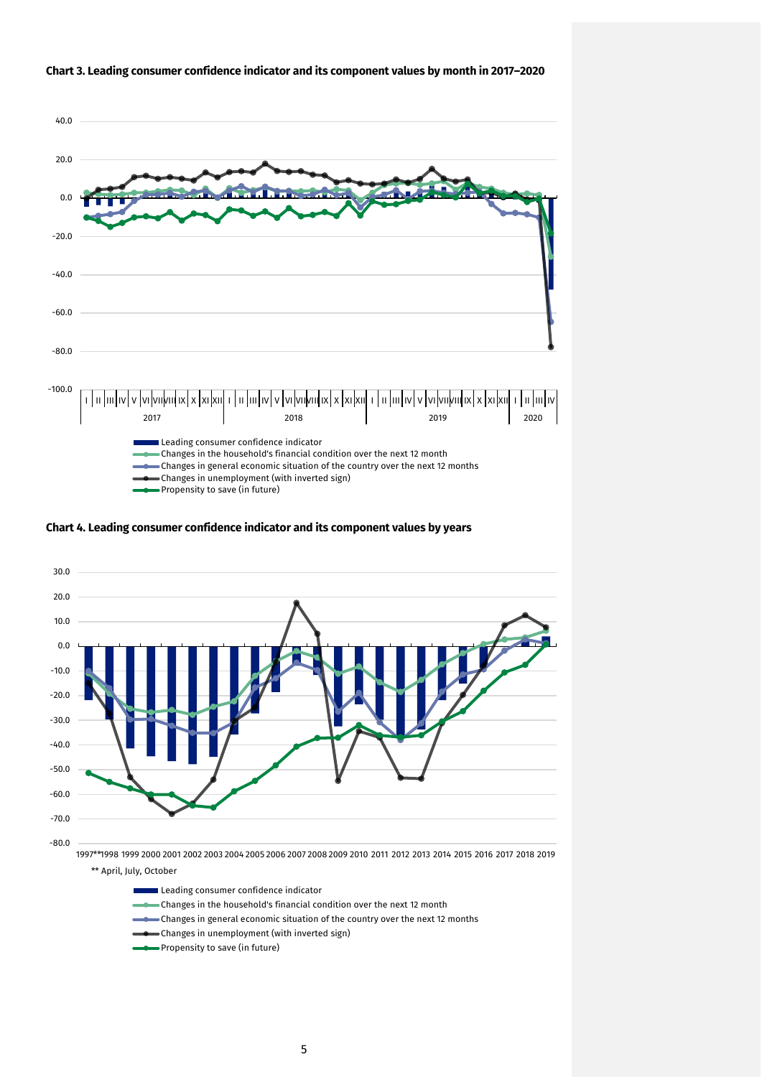

#### **Chart 3. Leading consumer confidence indicator and its component values by month in 2017–2020**

**Chart 4. Leading consumer confidence indicator and its component values by years**



Leading consumer confidence indicator

- Changes in the household's financial condition over the next 12 month
- Changes in general economic situation of the country over the next 12 months
- Changes in unemployment (with inverted sign)
- Propensity to save (in future)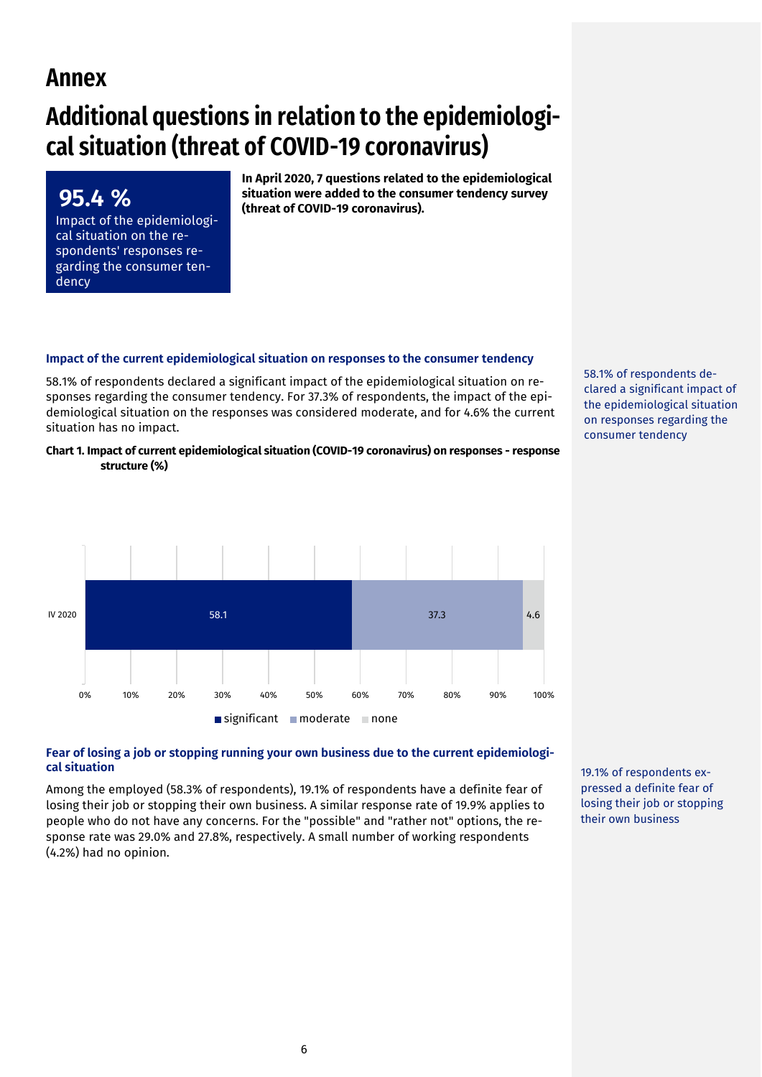## **Annex**

**95.4 %** 

dency

Impact of the epidemiological situation on the respondents' responses regarding the consumer ten-

# **Additional questions in relation to the epidemiological situation (threat of COVID-19 coronavirus)**

**In April 2020, 7 questions related to the epidemiological situation were added to the consumer tendency survey (threat of COVID-19 coronavirus).**

## **Impact of the current epidemiological situation on responses to the consumer tendency**

58.1% of respondents declared a significant impact of the epidemiological situation on responses regarding the consumer tendency. For 37.3% of respondents, the impact of the epidemiological situation on the responses was considered moderate, and for 4.6% the current situation has no impact.

**Chart 1. Impact of current epidemiological situation (COVID-19 coronavirus) on responses - response structure (%)**



#### **Fear of losing a job or stopping running your own business due to the current epidemiological situation**

Among the employed (58.3% of respondents), 19.1% of respondents have a definite fear of losing their job or stopping their own business. A similar response rate of 19.9% applies to people who do not have any concerns. For the "possible" and "rather not" options, the response rate was 29.0% and 27.8%, respectively. A small number of working respondents (4.2%) had no opinion.

19.1% of respondents expressed a definite fear of losing their job or stopping their own business

58.1% of respondents declared a significant impact of the epidemiological situation on responses regarding the consumer tendency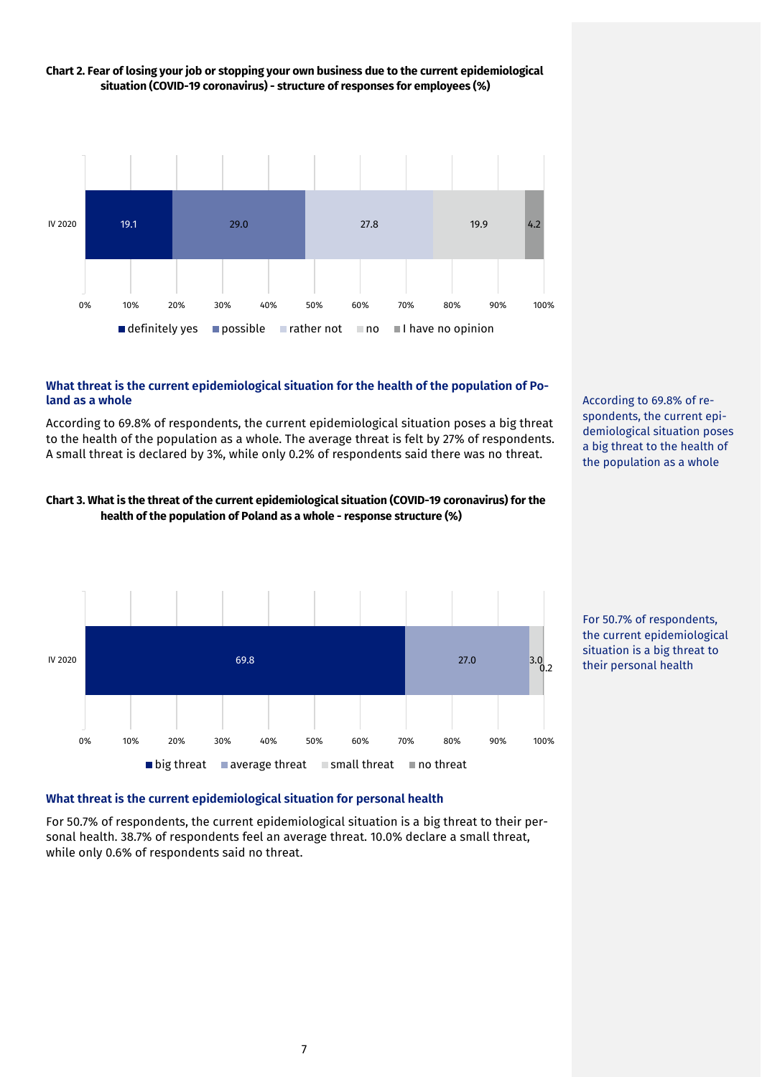

## **Chart 2. Fear of losing your job or stopping your own business due to the current epidemiological situation (COVID-19 coronavirus) - structure of responses for employees (%)**

## **What threat is the current epidemiological situation for the health of the population of Poland as a whole**

According to 69.8% of respondents, the current epidemiological situation poses a big threat to the health of the population as a whole. The average threat is felt by 27% of respondents. A small threat is declared by 3%, while only 0.2% of respondents said there was no threat.





According to 69.8% of respondents, the current epidemiological situation poses a big threat to the health of the population as a whole



## **What threat is the current epidemiological situation for personal health**

For 50.7% of respondents, the current epidemiological situation is a big threat to their personal health. 38.7% of respondents feel an average threat. 10.0% declare a small threat, while only 0.6% of respondents said no threat.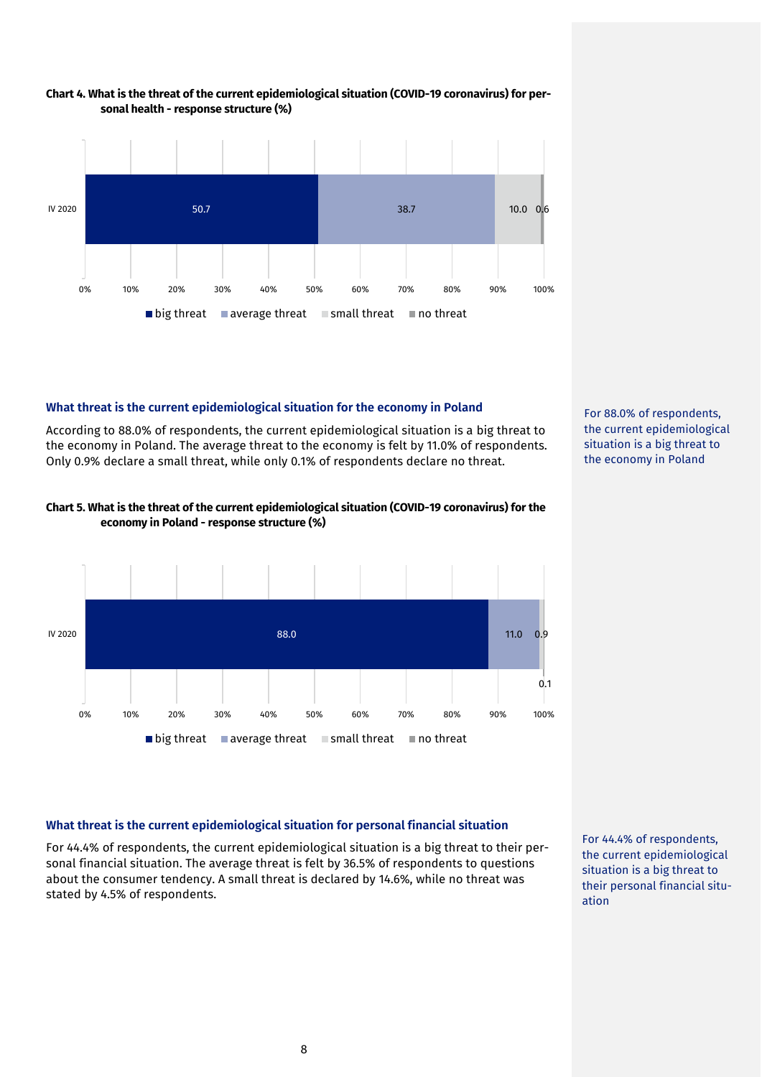



#### **What threat is the current epidemiological situation for the economy in Poland**

According to 88.0% of respondents, the current epidemiological situation is a big threat to the economy in Poland. The average threat to the economy is felt by 11.0% of respondents. Only 0.9% declare a small threat, while only 0.1% of respondents declare no threat.



## **Chart 5. What is the threat of the current epidemiological situation (COVID-19 coronavirus) for the economy in Poland - response structure (%)**



#### **What threat is the current epidemiological situation for personal financial situation**

For 44.4% of respondents, the current epidemiological situation is a big threat to their personal financial situation. The average threat is felt by 36.5% of respondents to questions about the consumer tendency. A small threat is declared by 14.6%, while no threat was stated by 4.5% of respondents.

For 44.4% of respondents, the current epidemiological situation is a big threat to their personal financial situation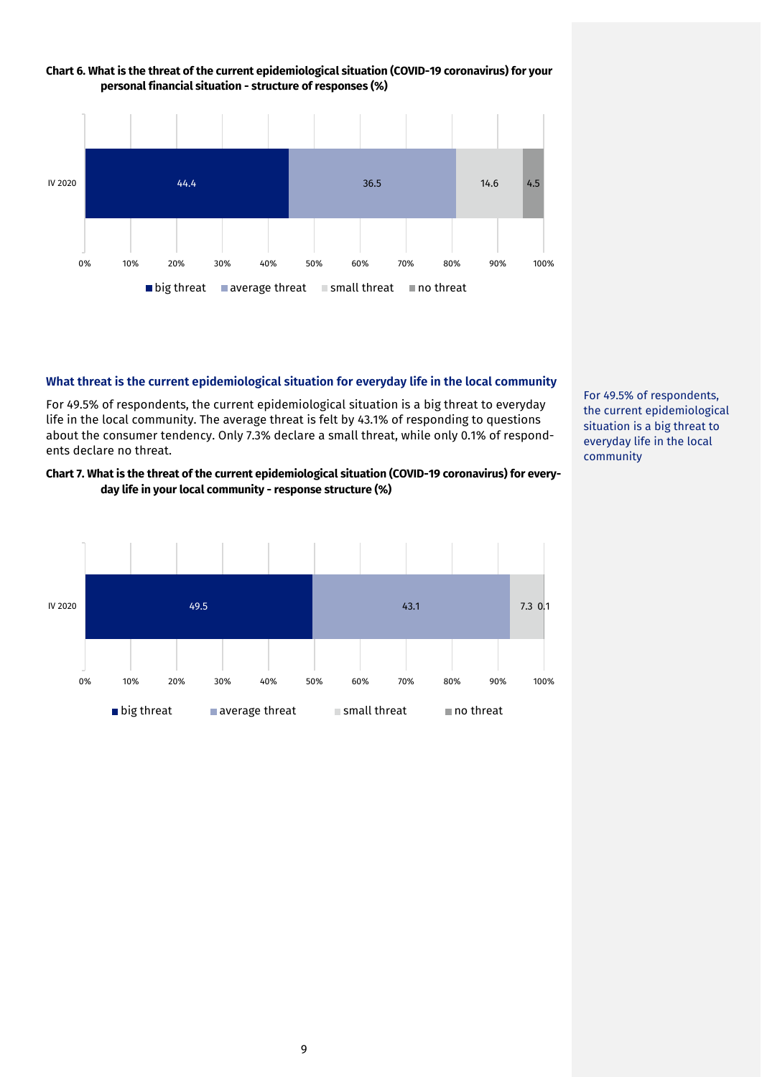

# **Chart 6. What is the threat of the current epidemiological situation (COVID-19 coronavirus) for your**

#### **What threat is the current epidemiological situation for everyday life in the local community**

For 49.5% of respondents, the current epidemiological situation is a big threat to everyday life in the local community. The average threat is felt by 43.1% of responding to questions about the consumer tendency. Only 7.3% declare a small threat, while only 0.1% of respondents declare no threat.

## **Chart 7. What is the threat of the current epidemiological situation (COVID-19 coronavirus) for everyday life in your local community - response structure (%)**



For 49.5% of respondents, the current epidemiological situation is a big threat to everyday life in the local community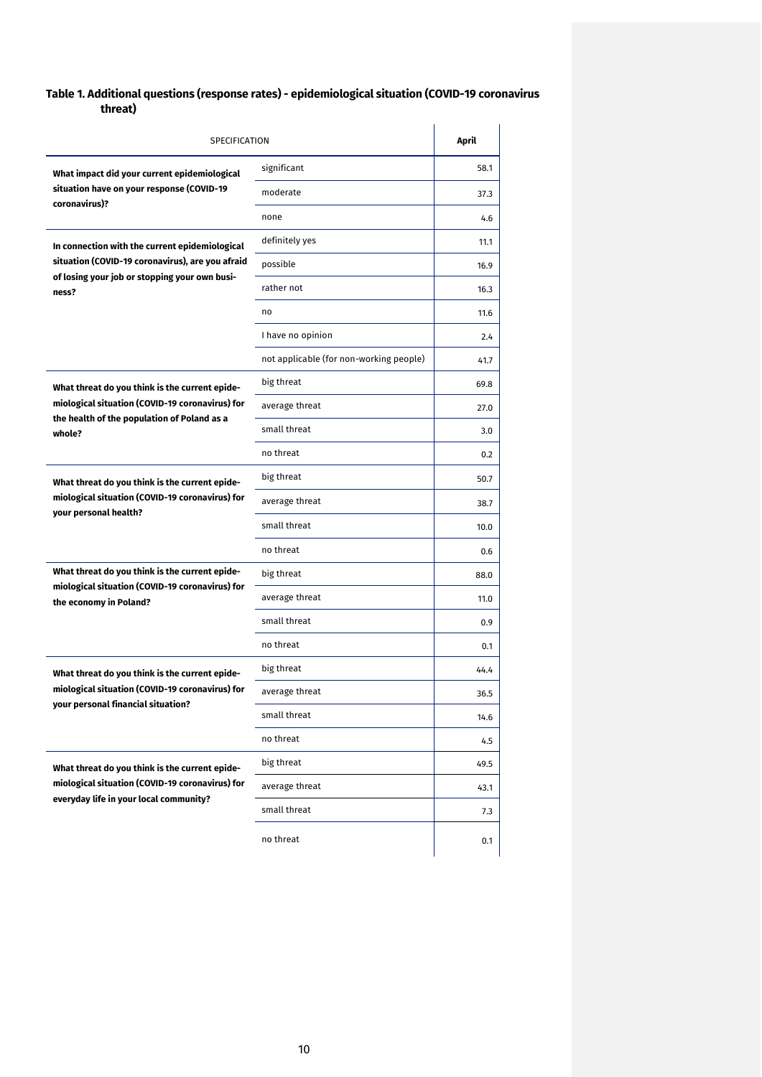## **Table 1. Additional questions (response rates) - epidemiological situation (COVID-19 coronavirus threat)**

| SPECIFICATION                                                                                     | April                                   |      |
|---------------------------------------------------------------------------------------------------|-----------------------------------------|------|
| What impact did your current epidemiological                                                      | significant                             | 58.1 |
| situation have on your response (COVID-19                                                         | moderate                                | 37.3 |
| coronavirus)?                                                                                     | none                                    | 4.6  |
| In connection with the current epidemiological                                                    | definitely yes                          | 11.1 |
| situation (COVID-19 coronavirus), are you afraid<br>of losing your job or stopping your own busi- | possible                                | 16.9 |
| ness?                                                                                             | rather not                              | 16.3 |
|                                                                                                   | no                                      | 11.6 |
|                                                                                                   | I have no opinion                       | 2.4  |
|                                                                                                   | not applicable (for non-working people) | 41.7 |
| What threat do you think is the current epide-                                                    | big threat                              | 69.8 |
| miological situation (COVID-19 coronavirus) for                                                   | average threat                          | 27.0 |
| the health of the population of Poland as a<br>whole?                                             | small threat                            | 3.0  |
|                                                                                                   | no threat                               | 0.2  |
| What threat do you think is the current epide-                                                    | big threat                              | 50.7 |
| miological situation (COVID-19 coronavirus) for                                                   | average threat                          | 38.7 |
| your personal health?                                                                             | small threat                            | 10.0 |
|                                                                                                   | no threat                               | 0.6  |
| What threat do you think is the current epide-                                                    | big threat                              | 88.0 |
| miological situation (COVID-19 coronavirus) for<br>the economy in Poland?                         | average threat                          | 11.0 |
|                                                                                                   | small threat                            | 0.9  |
|                                                                                                   | no threat                               | 0.1  |
| What threat do you think is the current epide-                                                    | big threat                              | 44.4 |
| miological situation (COVID-19 coronavirus) for                                                   | average threat                          | 36.5 |
| your personal financial situation?                                                                | small threat                            | 14.6 |
|                                                                                                   | no threat                               | 4.5  |
| What threat do you think is the current epide-                                                    | big threat                              | 49.5 |
| miological situation (COVID-19 coronavirus) for                                                   | average threat                          | 43.1 |
| everyday life in your local community?                                                            | small threat                            | 7.3  |
|                                                                                                   | no threat                               | 0.1  |